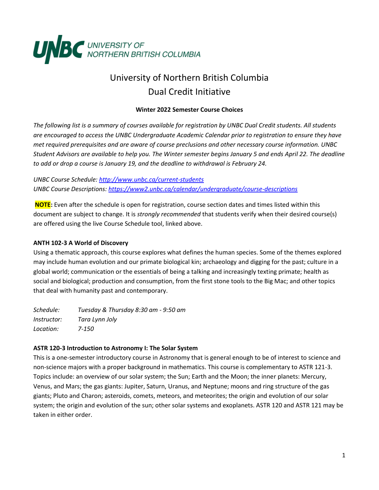

# University of Northern British Columbia Dual Credit Initiative

#### **Winter 2022 Semester Course Choices**

*The following list is a summary of courses available for registration by UNBC Dual Credit students. All students are encouraged to access the UNBC Undergraduate Academic Calendar prior to registration to ensure they have met required prerequisites and are aware of course preclusions and other necessary course information. UNBC Student Advisors are available to help you. The Winter semester begins January 5 and ends April 22. The deadline to add or drop a course is January 19, and the deadline to withdrawal is February 24.*

*UNBC Course Schedule:<http://www.unbc.ca/current-students> UNBC Course Descriptions:<https://www2.unbc.ca/calendar/undergraduate/course-descriptions>*

**NOTE:** Even after the schedule is open for registration, course section dates and times listed within this document are subject to change. It is *strongly recommended* that students verify when their desired course(s) are offered using the live Course Schedule tool, linked above.

# **ANTH 102-3 A World of Discovery**

Using a thematic approach, this course explores what defines the human species. Some of the themes explored may include human evolution and our primate biological kin; archaeology and digging for the past; culture in a global world; communication or the essentials of being a talking and increasingly texting primate; health as social and biological; production and consumption, from the first stone tools to the Big Mac; and other topics that deal with humanity past and contemporary.

*Schedule: Tuesday & Thursday 8:30 am - 9:50 am Instructor: Tara Lynn Joly Location: 7-150*

#### **ASTR 120-3 Introduction to Astronomy I: The Solar System**

This is a one-semester introductory course in Astronomy that is general enough to be of interest to science and non-science majors with a proper background in mathematics. This course is complementary to ASTR 121-3. Topics include: an overview of our solar system; the Sun; Earth and the Moon; the inner planets: Mercury, Venus, and Mars; the gas giants: Jupiter, Saturn, Uranus, and Neptune; moons and ring structure of the gas giants; Pluto and Charon; asteroids, comets, meteors, and meteorites; the origin and evolution of our solar system; the origin and evolution of the sun; other solar systems and exoplanets. ASTR 120 and ASTR 121 may be taken in either order.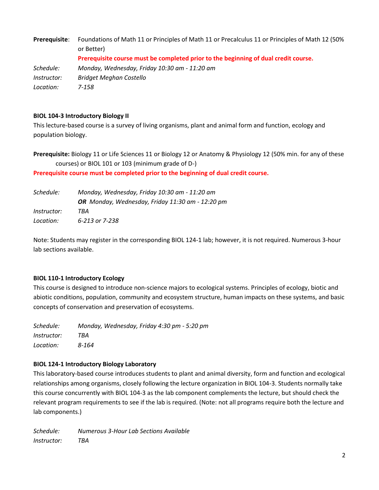**Prerequisite**: Foundations of Math 11 or Principles of Math 11 or Precalculus 11 or Principles of Math 12 (50% or Better) **Prerequisite course must be completed prior to the beginning of dual credit course.** *Schedule: Monday, Wednesday, Friday 10:30 am - 11:20 am Instructor: Bridget Meghan Costello Location: 7-158*

#### **BIOL 104-3 Introductory Biology II**

This lecture-based course is a survey of living organisms, plant and animal form and function, ecology and population biology.

**Prerequisite:** Biology 11 or Life Sciences 11 or Biology 12 or Anatomy & Physiology 12 (50% min. for any of these courses) or BIOL 101 or 103 (minimum grade of D-)

**Prerequisite course must be completed prior to the beginning of dual credit course.**

| Schedule:          | Monday, Wednesday, Friday 10:30 am - 11:20 am    |
|--------------------|--------------------------------------------------|
|                    | OR Monday, Wednesday, Friday 11:30 am - 12:20 pm |
| <i>Instructor:</i> | TBA                                              |
| Location:          | 6-213 or 7-238                                   |

Note: Students may register in the corresponding BIOL 124-1 lab; however, it is not required. Numerous 3-hour lab sections available.

#### **BIOL 110-1 Introductory Ecology**

This course is designed to introduce non-science majors to ecological systems. Principles of ecology, biotic and abiotic conditions, population, community and ecosystem structure, human impacts on these systems, and basic concepts of conservation and preservation of ecosystems.

*Schedule: Monday, Wednesday, Friday 4:30 pm - 5:20 pm Instructor: TBA Location: 8-164*

#### **BIOL 124-1 Introductory Biology Laboratory**

This laboratory-based course introduces students to plant and animal diversity, form and function and ecological relationships among organisms, closely following the lecture organization in BIOL 104-3. Students normally take this course concurrently with BIOL 104-3 as the lab component complements the lecture, but should check the relevant program requirements to see if the lab is required. (Note: not all programs require both the lecture and lab components.)

*Schedule: Numerous 3-Hour Lab Sections Available Instructor: TBA*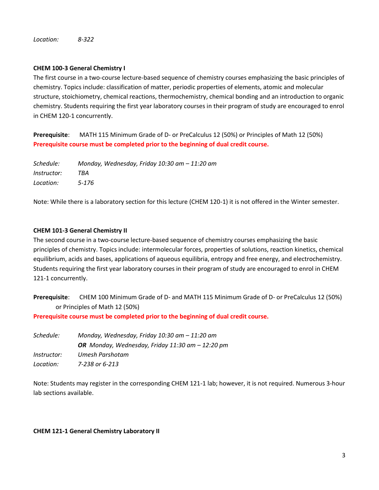*Location: 8-322*

# **CHEM 100-3 General Chemistry I**

The first course in a two-course lecture-based sequence of chemistry courses emphasizing the basic principles of chemistry. Topics include: classification of matter, periodic properties of elements, atomic and molecular structure, stoichiometry, chemical reactions, thermochemistry, chemical bonding and an introduction to organic chemistry. Students requiring the first year laboratory courses in their program of study are encouraged to enrol in CHEM 120-1 concurrently.

**Prerequisite**: MATH 115 Minimum Grade of D- or PreCalculus 12 (50%) or Principles of Math 12 (50%) **Prerequisite course must be completed prior to the beginning of dual credit course.**

*Schedule: Monday, Wednesday, Friday 10:30 am – 11:20 am Instructor: TBA Location: 5-176*

Note: While there is a laboratory section for this lecture (CHEM 120-1) it is not offered in the Winter semester.

# **CHEM 101-3 General Chemistry II**

The second course in a two-course lecture-based sequence of chemistry courses emphasizing the basic principles of chemistry. Topics include: intermolecular forces, properties of solutions, reaction kinetics, chemical equilibrium, acids and bases, applications of aqueous equilibria, entropy and free energy, and electrochemistry. Students requiring the first year laboratory courses in their program of study are encouraged to enrol in CHEM 121-1 concurrently.

**Prerequisite**: CHEM 100 Minimum Grade of D- and MATH 115 Minimum Grade of D- or PreCalculus 12 (50%) or Principles of Math 12 (50%)

**Prerequisite course must be completed prior to the beginning of dual credit course.**

*Schedule: Monday, Wednesday, Friday 10:30 am – 11:20 am OR Monday, Wednesday, Friday 11:30 am – 12:20 pm Instructor: Umesh Parshotam Location: 7-238 or 6-213*

Note: Students may register in the corresponding CHEM 121-1 lab; however, it is not required. Numerous 3-hour lab sections available.

#### **CHEM 121-1 General Chemistry Laboratory II**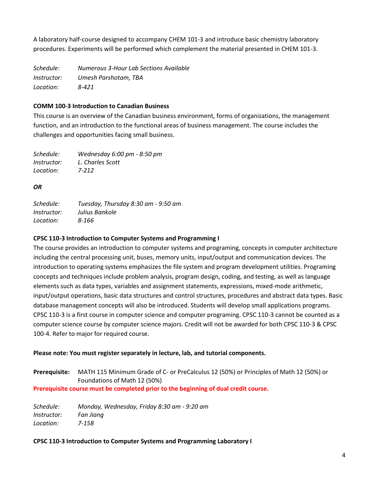A laboratory half-course designed to accompany CHEM 101-3 and introduce basic chemistry laboratory procedures. Experiments will be performed which complement the material presented in CHEM 101-3.

*Schedule: Numerous 3-Hour Lab Sections Available Instructor: Umesh Parshotam, TBA Location: 8-421*

# **COMM 100-3 Introduction to Canadian Business**

This course is an overview of the Canadian business environment, forms of organizations, the management function, and an introduction to the functional areas of business management. The course includes the challenges and opportunities facing small business.

| Schedule:          | Wednesday 6:00 pm - 8:50 pm |
|--------------------|-----------------------------|
| <i>Instructor:</i> | L. Charles Scott            |
| Location:          | 7-212                       |

# *OR*

| Schedule:          | Tuesday, Thursday 8:30 am - 9:50 am |
|--------------------|-------------------------------------|
| <i>Instructor:</i> | Julius Bankole                      |
| Location:          | 8-166                               |

# **CPSC 110-3 Introduction to Computer Systems and Programming I**

The course provides an introduction to computer systems and programing, concepts in computer architecture including the central processing unit, buses, memory units, input/output and communication devices. The introduction to operating systems emphasizes the file system and program development utilities. Programing concepts and techniques include problem analysis, program design, coding, and testing, as well as language elements such as data types, variables and assignment statements, expressions, mixed-mode arithmetic, input/output operations, basic data structures and control structures, procedures and abstract data types. Basic database management concepts will also be introduced. Students will develop small applications programs. CPSC 110-3 is a first course in computer science and computer programing. CPSC 110-3 cannot be counted as a computer science course by computer science majors. Credit will not be awarded for both CPSC 110-3 & CPSC 100-4. Refer to major for required course.

#### **Please note: You must register separately in lecture, lab, and tutorial components.**

**Prerequisite:** MATH 115 Minimum Grade of C- or PreCalculus 12 (50%) or Principles of Math 12 (50%) or Foundations of Math 12 (50%)

**Prerequisite course must be completed prior to the beginning of dual credit course.**

*Schedule: Monday, Wednesday, Friday 8:30 am - 9:20 am Instructor: Fan Jiang Location: 7-158*

#### **CPSC 110-3 Introduction to Computer Systems and Programming Laboratory I**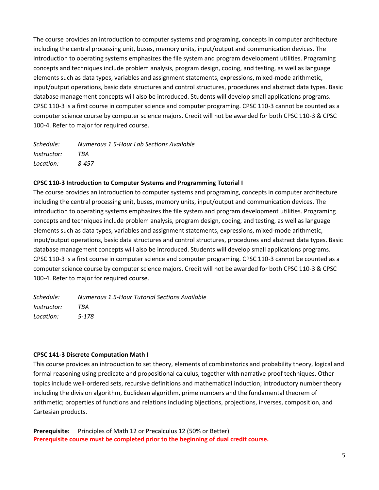The course provides an introduction to computer systems and programing, concepts in computer architecture including the central processing unit, buses, memory units, input/output and communication devices. The introduction to operating systems emphasizes the file system and program development utilities. Programing concepts and techniques include problem analysis, program design, coding, and testing, as well as language elements such as data types, variables and assignment statements, expressions, mixed-mode arithmetic, input/output operations, basic data structures and control structures, procedures and abstract data types. Basic database management concepts will also be introduced. Students will develop small applications programs. CPSC 110-3 is a first course in computer science and computer programing. CPSC 110-3 cannot be counted as a computer science course by computer science majors. Credit will not be awarded for both CPSC 110-3 & CPSC 100-4. Refer to major for required course.

| Schedule:   | Numerous 1.5-Hour Lab Sections Available |
|-------------|------------------------------------------|
| Instructor: | TRA                                      |
| Location:   | 8-457                                    |

#### **CPSC 110-3 Introduction to Computer Systems and Programming Tutorial I**

The course provides an introduction to computer systems and programing, concepts in computer architecture including the central processing unit, buses, memory units, input/output and communication devices. The introduction to operating systems emphasizes the file system and program development utilities. Programing concepts and techniques include problem analysis, program design, coding, and testing, as well as language elements such as data types, variables and assignment statements, expressions, mixed-mode arithmetic, input/output operations, basic data structures and control structures, procedures and abstract data types. Basic database management concepts will also be introduced. Students will develop small applications programs. CPSC 110-3 is a first course in computer science and computer programing. CPSC 110-3 cannot be counted as a computer science course by computer science majors. Credit will not be awarded for both CPSC 110-3 & CPSC 100-4. Refer to major for required course.

*Schedule: Numerous 1.5-Hour Tutorial Sections Available Instructor: TBA Location: 5-178*

#### **CPSC 141-3 Discrete Computation Math I**

This course provides an introduction to set theory, elements of combinatorics and probability theory, logical and formal reasoning using predicate and propositional calculus, together with narrative proof techniques. Other topics include well-ordered sets, recursive definitions and mathematical induction; introductory number theory including the division algorithm, Euclidean algorithm, prime numbers and the fundamental theorem of arithmetic; properties of functions and relations including bijections, projections, inverses, composition, and Cartesian products.

**Prerequisite:** Principles of Math 12 or Precalculus 12 (50% or Better) **Prerequisite course must be completed prior to the beginning of dual credit course.**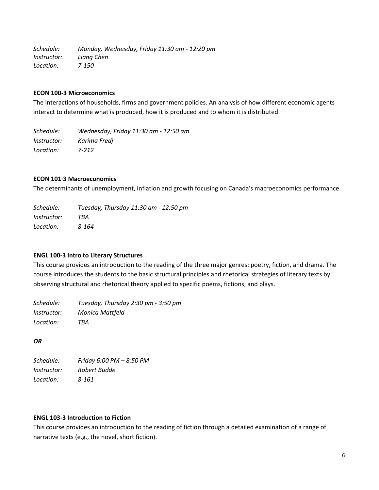*Schedule: Monday, Wednesday, Friday 11:30 am - 12:20 pm Instructor: Liang Chen Location: 7-150*

#### **ECON 100-3 Microeconomics**

The interactions of households, firms and government policies. An analysis of how different economic agents interact to determine what is produced, how it is produced and to whom it is distributed.

*Schedule: Wednesday, Friday 11:30 am - 12:50 am Instructor: Karima Fredj Location: 7-212*

#### **ECON 101·3 Macroeconomics**

The determinants of unemployment, inflation and growth focusing on Canada's macroeconomics performance.

| Schedule:          | Tuesday, Thursday 11:30 am - 12:50 pm |
|--------------------|---------------------------------------|
| <i>Instructor:</i> | TBA                                   |
| Location:          | 8-164                                 |

#### **ENGL 100-3 Intro to Literary Structures**

This course provides an introduction to the reading of the three major genres: poetry, fiction, and drama. The course introduces the students to the basic structural principles and rhetorical strategies of literary texts by observing structural and rhetorical theory applied to specific poems, fictions, and plays.

| Schedule:          | Tuesday, Thursday 2:30 pm - 3:50 pm |
|--------------------|-------------------------------------|
| <i>Instructor:</i> | Monica Mattfeld                     |
| Location:          | TBA                                 |

*OR*

*Schedule: Friday 6:00 PM – 8:50 PM Instructor: Robert Budde Location: 8-161*

#### **ENGL 103-3 Introduction to Fiction**

This course provides an introduction to the reading of fiction through a detailed examination of a range of narrative texts (e.g., the novel, short fiction).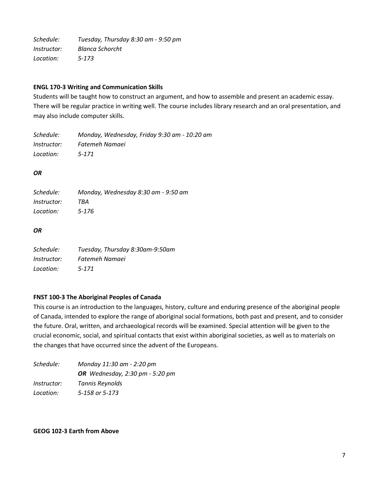*Schedule: Tuesday, Thursday 8:30 am - 9:50 pm Instructor: Blanca Schorcht Location: 5-173*

#### **ENGL 170-3 Writing and Communication Skills**

Students will be taught how to construct an argument, and how to assemble and present an academic essay. There will be regular practice in writing well. The course includes library research and an oral presentation, and may also include computer skills.

*Schedule: Monday, Wednesday, Friday 9:30 am - 10:20 am Instructor: Fatemeh Namaei Location: 5-171*

# *OR*

*Schedule: Monday, Wednesday 8:30 am - 9:50 am Instructor: TBA Location: 5-176*

#### *OR*

| Schedule:          | Tuesday, Thursday 8:30am-9:50am |
|--------------------|---------------------------------|
| <i>Instructor:</i> | Fatemeh Namaei                  |
| Location:          | $5 - 171$                       |

#### **FNST 100-3 The Aboriginal Peoples of Canada**

This course is an introduction to the languages, history, culture and enduring presence of the aboriginal people of Canada, intended to explore the range of aboriginal social formations, both past and present, and to consider the future. Oral, written, and archaeological records will be examined. Special attention will be given to the crucial economic, social, and spiritual contacts that exist within aboriginal societies, as well as to materials on the changes that have occurred since the advent of the Europeans.

| Schedule:          | Monday 11:30 am - 2:20 pm       |
|--------------------|---------------------------------|
|                    | OR Wednesday, 2:30 pm - 5:20 pm |
| <i>Instructor:</i> | Tannis Reynolds                 |
| Location:          | 5-158 or 5-173                  |

#### **GEOG 102-3 Earth from Above**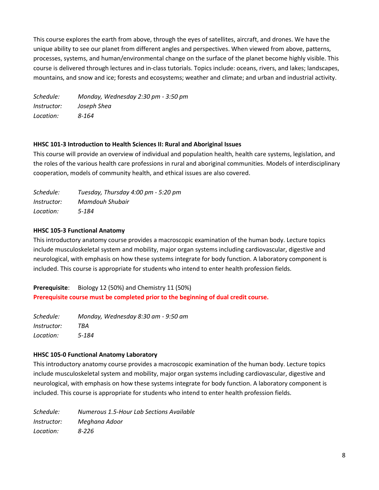This course explores the earth from above, through the eyes of satellites, aircraft, and drones. We have the unique ability to see our planet from different angles and perspectives. When viewed from above, patterns, processes, systems, and human/environmental change on the surface of the planet become highly visible. This course is delivered through lectures and in-class tutorials. Topics include: oceans, rivers, and lakes; landscapes, mountains, and snow and ice; forests and ecosystems; weather and climate; and urban and industrial activity.

*Schedule: Monday, Wednesday 2:30 pm - 3:50 pm Instructor: Joseph Shea Location: 8-164*

#### **HHSC 101-3 Introduction to Health Sciences II: Rural and Aboriginal Issues**

This course will provide an overview of individual and population health, health care systems, legislation, and the roles of the various health care professions in rural and aboriginal communities. Models of interdisciplinary cooperation, models of community health, and ethical issues are also covered.

| Schedule:          | Tuesday, Thursday 4:00 pm - 5:20 pm |
|--------------------|-------------------------------------|
| <i>Instructor:</i> | Mamdouh Shubair                     |
| Location:          | 5-184                               |

# **HHSC 105-3 Functional Anatomy**

This introductory anatomy course provides a macroscopic examination of the human body. Lecture topics include musculoskeletal system and mobility, major organ systems including cardiovascular, digestive and neurological, with emphasis on how these systems integrate for body function. A laboratory component is included. This course is appropriate for students who intend to enter health profession fields.

**Prerequisite**: Biology 12 (50%) and Chemistry 11 (50%) **Prerequisite course must be completed prior to the beginning of dual credit course.**

*Schedule: Monday, Wednesday 8:30 am - 9:50 am Instructor: TBA Location: 5-184*

#### **HHSC 105-0 Functional Anatomy Laboratory**

This introductory anatomy course provides a macroscopic examination of the human body. Lecture topics include musculoskeletal system and mobility, major organ systems including cardiovascular, digestive and neurological, with emphasis on how these systems integrate for body function. A laboratory component is included. This course is appropriate for students who intend to enter health profession fields.

*Schedule: Numerous 1.5-Hour Lab Sections Available Instructor: Meghana Adoor Location: 8-226*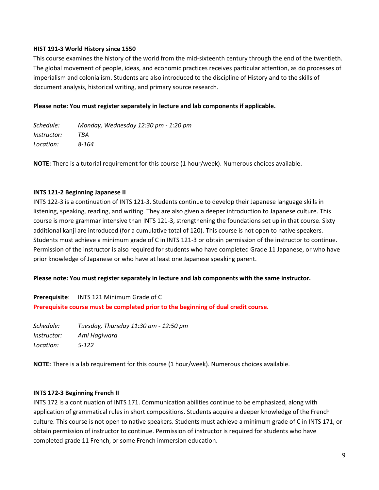#### **HIST 191-3 World History since 1550**

This course examines the history of the world from the mid-sixteenth century through the end of the twentieth. The global movement of people, ideas, and economic practices receives particular attention, as do processes of imperialism and colonialism. Students are also introduced to the discipline of History and to the skills of document analysis, historical writing, and primary source research.

#### **Please note: You must register separately in lecture and lab components if applicable.**

| Schedule:          | Monday, Wednesday 12:30 pm - 1:20 pm |
|--------------------|--------------------------------------|
| <i>Instructor:</i> | TBA                                  |
| Location:          | 8-164                                |

**NOTE:** There is a tutorial requirement for this course (1 hour/week). Numerous choices available.

#### **INTS 121-2 Beginning Japanese II**

INTS 122-3 is a continuation of INTS 121-3. Students continue to develop their Japanese language skills in listening, speaking, reading, and writing. They are also given a deeper introduction to Japanese culture. This course is more grammar intensive than INTS 121-3, strengthening the foundations set up in that course. Sixty additional kanji are introduced (for a cumulative total of 120). This course is not open to native speakers. Students must achieve a minimum grade of C in INTS 121-3 or obtain permission of the instructor to continue. Permission of the instructor is also required for students who have completed Grade 11 Japanese, or who have prior knowledge of Japanese or who have at least one Japanese speaking parent.

#### **Please note: You must register separately in lecture and lab components with the same instructor.**

**Prerequisite**: INTS 121 Minimum Grade of C **Prerequisite course must be completed prior to the beginning of dual credit course.**

*Schedule: Tuesday, Thursday 11:30 am - 12:50 pm Instructor: Ami Hagiwara Location: 5-122*

**NOTE:** There is a lab requirement for this course (1 hour/week). Numerous choices available.

#### **INTS 172-3 Beginning French II**

INTS 172 is a continuation of INTS 171. Communication abilities continue to be emphasized, along with application of grammatical rules in short compositions. Students acquire a deeper knowledge of the French culture. This course is not open to native speakers. Students must achieve a minimum grade of C in INTS 171, or obtain permission of instructor to continue. Permission of instructor is required for students who have completed grade 11 French, or some French immersion education.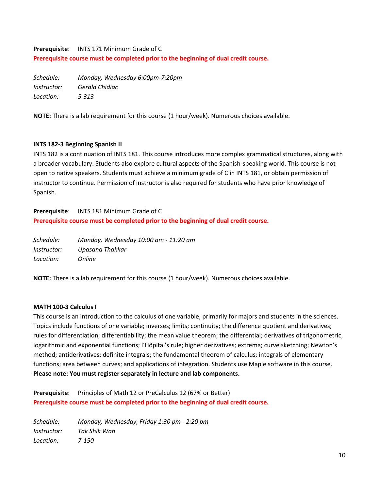# **Prerequisite**: INTS 171 Minimum Grade of C **Prerequisite course must be completed prior to the beginning of dual credit course.**

*Schedule: Monday, Wednesday 6:00pm-7:20pm Instructor: Gerald Chidiac Location: 5-313*

**NOTE:** There is a lab requirement for this course (1 hour/week). Numerous choices available.

#### **INTS 182-3 Beginning Spanish II**

INTS 182 is a continuation of INTS 181. This course introduces more complex grammatical structures, along with a broader vocabulary. Students also explore cultural aspects of the Spanish-speaking world. This course is not open to native speakers. Students must achieve a minimum grade of C in INTS 181, or obtain permission of instructor to continue. Permission of instructor is also required for students who have prior knowledge of Spanish.

# **Prerequisite**: INTS 181 Minimum Grade of C **Prerequisite course must be completed prior to the beginning of dual credit course.**

| Schedule:          | Monday, Wednesday 10:00 am - 11:20 am |
|--------------------|---------------------------------------|
| <i>Instructor:</i> | Upasana Thakkar                       |
| Location:          | <i>Online</i>                         |

**NOTE:** There is a lab requirement for this course (1 hour/week). Numerous choices available.

#### **MATH 100-3 Calculus I**

This course is an introduction to the calculus of one variable, primarily for majors and students in the sciences. Topics include functions of one variable; inverses; limits; continuity; the difference quotient and derivatives; rules for differentiation; differentiability; the mean value theorem; the differential; derivatives of trigonometric, logarithmic and exponential functions; l'Hôpital's rule; higher derivatives; extrema; curve sketching; Newton's method; antiderivatives; definite integrals; the fundamental theorem of calculus; integrals of elementary functions; area between curves; and applications of integration. Students use Maple software in this course. **Please note: You must register separately in lecture and lab components.**

Prerequisite: Principles of Math 12 or PreCalculus 12 (67% or Better) **Prerequisite course must be completed prior to the beginning of dual credit course.**

*Schedule: Monday, Wednesday, Friday 1:30 pm - 2:20 pm Instructor: Tak Shik Wan Location: 7-150*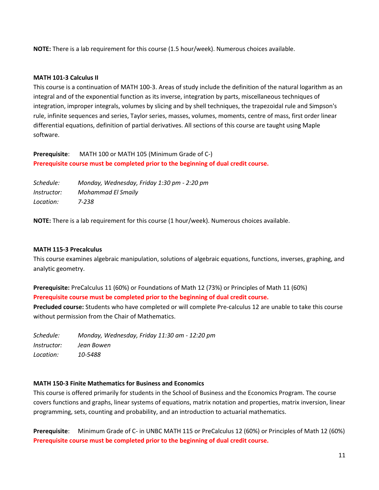**NOTE:** There is a lab requirement for this course (1.5 hour/week). Numerous choices available.

#### **MATH 101-3 Calculus II**

This course is a continuation of MATH 100-3. Areas of study include the definition of the natural logarithm as an integral and of the exponential function as its inverse, integration by parts, miscellaneous techniques of integration, improper integrals, volumes by slicing and by shell techniques, the trapezoidal rule and Simpson's rule, infinite sequences and series, Taylor series, masses, volumes, moments, centre of mass, first order linear differential equations, definition of partial derivatives. All sections of this course are taught using Maple software.

**Prerequisite**: MATH 100 or MATH 105 (Minimum Grade of C-) **Prerequisite course must be completed prior to the beginning of dual credit course.**

*Schedule: Monday, Wednesday, Friday 1:30 pm - 2:20 pm Instructor: Mohammad El Smaily Location: 7-238*

**NOTE:** There is a lab requirement for this course (1 hour/week). Numerous choices available.

#### **MATH 115-3 Precalculus**

This course examines algebraic manipulation, solutions of algebraic equations, functions, inverses, graphing, and analytic geometry.

**Prerequisite:** PreCalculus 11 (60%) or Foundations of Math 12 (73%) or Principles of Math 11 (60%) **Prerequisite course must be completed prior to the beginning of dual credit course.**

**Precluded course:** Students who have completed or will complete Pre-calculus 12 are unable to take this course without permission from the Chair of Mathematics.

*Schedule: Monday, Wednesday, Friday 11:30 am - 12:20 pm Instructor: Jean Bowen Location: 10-5488*

#### **MATH 150-3 Finite Mathematics for Business and Economics**

This course is offered primarily for students in the School of Business and the Economics Program. The course covers functions and graphs, linear systems of equations, matrix notation and properties, matrix inversion, linear programming, sets, counting and probability, and an introduction to actuarial mathematics.

**Prerequisite**: Minimum Grade of C- in UNBC MATH 115 or PreCalculus 12 (60%) or Principles of Math 12 (60%) **Prerequisite course must be completed prior to the beginning of dual credit course.**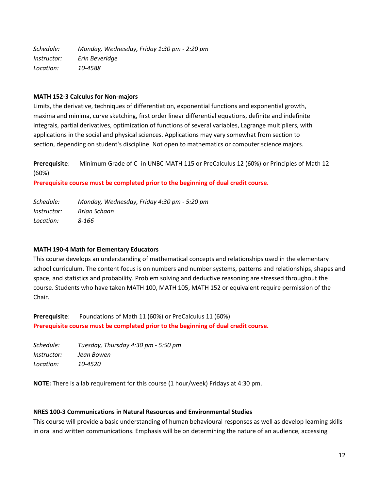*Schedule: Monday, Wednesday, Friday 1:30 pm - 2:20 pm Instructor: Erin Beveridge Location: 10-4588*

#### **MATH 152-3 Calculus for Non-majors**

Limits, the derivative, techniques of differentiation, exponential functions and exponential growth, maxima and minima, curve sketching, first order linear differential equations, definite and indefinite integrals, partial derivatives, optimization of functions of several variables, Lagrange multipliers, with applications in the social and physical sciences. Applications may vary somewhat from section to section, depending on student's discipline. Not open to mathematics or computer science majors.

**Prerequisite**: Minimum Grade of C- in UNBC MATH 115 or PreCalculus 12 (60%) or Principles of Math 12 (60%)

**Prerequisite course must be completed prior to the beginning of dual credit course.**

| Schedule:          | Monday, Wednesday, Friday 4:30 pm - 5:20 pm |
|--------------------|---------------------------------------------|
| <i>Instructor:</i> | Brian Schaan                                |
| Location:          | 8-166                                       |

#### **MATH 190-4 Math for Elementary Educators**

This course develops an understanding of mathematical concepts and relationships used in the elementary school curriculum. The content focus is on numbers and number systems, patterns and relationships, shapes and space, and statistics and probability. Problem solving and deductive reasoning are stressed throughout the course. Students who have taken MATH 100, MATH 105, MATH 152 or equivalent require permission of the Chair.

**Prerequisite**: Foundations of Math 11 (60%) or PreCalculus 11 (60%) **Prerequisite course must be completed prior to the beginning of dual credit course.**

| Schedule:          | Tuesday, Thursday 4:30 pm - 5:50 pm |
|--------------------|-------------------------------------|
| <i>Instructor:</i> | Jean Bowen                          |
| Location:          | 10-4520                             |

**NOTE:** There is a lab requirement for this course (1 hour/week) Fridays at 4:30 pm.

#### **NRES 100-3 Communications in Natural Resources and Environmental Studies**

This course will provide a basic understanding of human behavioural responses as well as develop learning skills in oral and written communications. Emphasis will be on determining the nature of an audience, accessing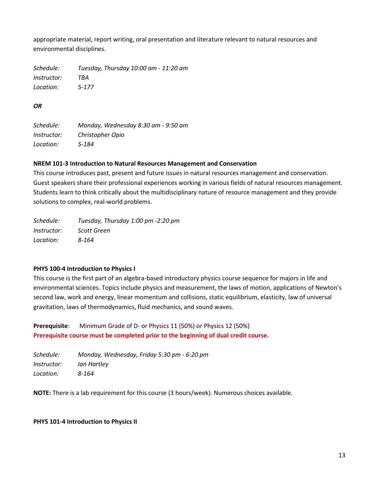appropriate material, report writing, oral presentation and literature relevant to natural resources and environmental disciplines.

*Schedule: Tuesday, Thursday 10:00 am - 11:20 am Instructor: TBA Location: 5-177*

# *OR*

*Schedule: Monday, Wednesday 8:30 am - 9:50 am Instructor: Christopher Opio Location: 5-184*

#### **NREM 101-3 Introduction to Natural Resources Management and Conservation**

This course introduces past, present and future issues in natural resources management and conservation. Guest speakers share their professional experiences working in various fields of natural resources management. Students learn to think critically about the multidisciplinary nature of resource management and they provide solutions to complex, real-world problems.

| Schedule:          | Tuesday, Thursday 1:00 pm -2:20 pm |
|--------------------|------------------------------------|
| <i>Instructor:</i> | Scott Green                        |
| Location:          | 8-164                              |

# **PHYS 100-4 Introduction to Physics I**

This course is the first part of an algebra-based introductory physics course sequence for majors in life and environmental sciences. Topics include physics and measurement, the laws of motion, applications of Newton's second law, work and energy, linear momentum and collisions, static equilibrium, elasticity, law of universal gravitation, laws of thermodynamics, fluid mechanics, and sound waves.

**Prerequisite**: Minimum Grade of D- or Physics 11 (50%) or Physics 12 (50%) **Prerequisite course must be completed prior to the beginning of dual credit course.**

*Schedule: Monday, Wednesday, Friday 5:30 pm - 6:20 pm Instructor: Ian Hartley Location: 8-164*

**NOTE:** There is a lab requirement for this course (3 hours/week). Numerous choices available.

#### **PHYS 101-4 Introduction to Physics II**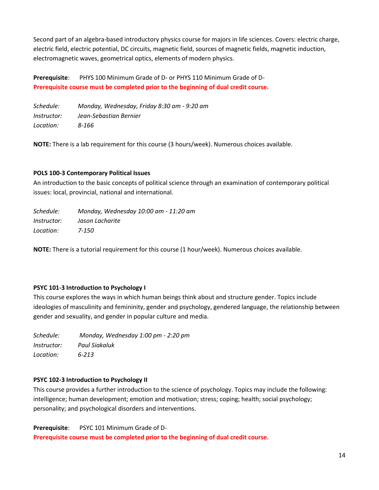Second part of an algebra-based introductory physics course for majors in life sciences. Covers: electric charge, electric field, electric potential, DC circuits, magnetic field, sources of magnetic fields, magnetic induction, electromagnetic waves, geometrical optics, elements of modern physics.

**Prerequisite**: PHYS 100 Minimum Grade of D- or PHYS 110 Minimum Grade of D-**Prerequisite course must be completed prior to the beginning of dual credit course.**

*Schedule: Monday, Wednesday, Friday 8:30 am - 9:20 am Instructor: Jean-Sebastian Bernier Location: 8-166*

**NOTE:** There is a lab requirement for this course (3 hours/week). Numerous choices available.

# **POLS 100-3 Contemporary Political Issues**

An introduction to the basic concepts of political science through an examination of contemporary political issues: local, provincial, national and international.

*Schedule: Monday, Wednesday 10:00 am - 11:20 am Instructor: Jason Lacharite Location: 7-150*

**NOTE:** There is a tutorial requirement for this course (1 hour/week). Numerous choices available.

#### **PSYC 101-3 Introduction to Psychology I**

This course explores the ways in which human beings think about and structure gender. Topics include ideologies of masculinity and femininity, gender and psychology, gendered language, the relationship between gender and sexuality, and gender in popular culture and media.

*Schedule: Monday, Wednesday 1:00 pm - 2:20 pm Instructor: Paul Siakaluk Location: 6-213*

#### **PSYC 102-3 Introduction to Psychology II**

This course provides a further introduction to the science of psychology. Topics may include the following: intelligence; human development; emotion and motivation; stress; coping; health; social psychology; personality; and psychological disorders and interventions.

**Prerequisite**: PSYC 101 Minimum Grade of D-**Prerequisite course must be completed prior to the beginning of dual credit course.**